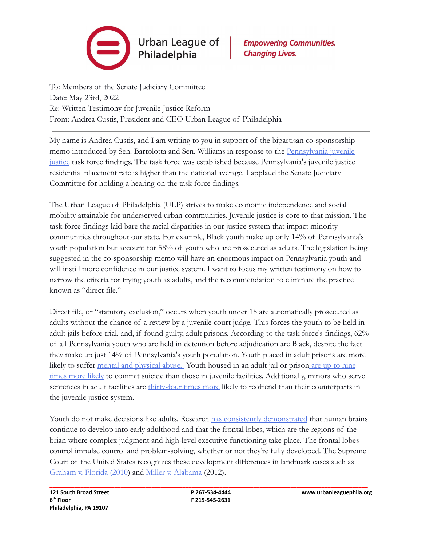

**Empowering Communities. Changing Lives.** 

To: Members of the Senate Judiciary Committee Date: May 23rd, 2022 Re: Written Testimony for Juvenile Justice Reform From: Andrea Custis, President and CEO Urban League of Philadelphia

My name is Andrea Custis, and I am writing to you in support of the bipartisan co-sponsorship memo introduced by Sen. Bartolotta and Sen. Williams in response to the [Pennsylvania juvenile](https://www.pacourts.us/Storage/media/pdfs/20210622/152647-pajuvenilejusticetaskforcereportandrecommendations_final.pdf) [justice](https://www.pacourts.us/Storage/media/pdfs/20210622/152647-pajuvenilejusticetaskforcereportandrecommendations_final.pdf) task force findings. The task force was established because Pennsylvania's juvenile justice residential placement rate is higher than the national average. I applaud the Senate Judiciary Committee for holding a hearing on the task force findings.

The Urban League of Philadelphia (ULP) strives to make economic independence and social mobility attainable for underserved urban communities. Juvenile justice is core to that mission. The task force findings laid bare the racial disparities in our justice system that impact minority communities throughout our state. For example, Black youth make up only 14% of Pennsylvania's youth population but account for 58% of youth who are prosecuted as adults. The legislation being suggested in the co-sponsorship memo will have an enormous impact on Pennsylvania youth and will instill more confidence in our justice system. I want to focus my written testimony on how to narrow the criteria for trying youth as adults, and the recommendation to eliminate the practice known as "direct file"

Direct file, or "statutory exclusion," occurs when youth under 18 are automatically prosecuted as adults without the chance of a review by a juvenile court judge. This forces the youth to be held in adult jails before trial, and, if found guilty, adult prisons. According to the task force's findings, 62% of all Pennsylvania youth who are held in detention before adjudication are Black, despite the fact they make up just 14% of Pennsylvania's youth population. Youth placed in adult prisons are more likely to suffer [mental and physical abuse.](https://www.theatlantic.com/education/archive/2016/01/the-cost-of-keeping-juveniles-in-adult-prisons/423201/) Youth housed in an adult jail or prison [are up to nine](https://eji.org/issues/children-in-prison/) [times more likely](https://eji.org/issues/children-in-prison/) to commit suicide than those in juvenile facilities. Additionally, minors who serve sentences in adult facilities are [thirty-four times](https://childsafety.losangelescriminallawyer.pro/minors-in-prison.html) more likely to reoffend than their counterparts in the juvenile justice system.

Youth do not make decisions like adults. Research [has consistently demonstrated](https://www.aacap.org/aacap/Policy_Statements/2014/AACAPPS_Direct_File.aspx) that human brains continue to develop into early adulthood and that the frontal lobes, which are the regions of the brian where complex judgment and high-level executive functioning take place. The frontal lobes control impulse control and problem-solving, whether or not they're fully developed. The Supreme Court of the United States recognizes these development differences in landmark cases such as [Graham v. Florida \(2010\)](https://eji.org/cases/graham-v-florida/) and [Miller v. Alabama](https://eji.org/cases/miller-v-alabama/) (2012).